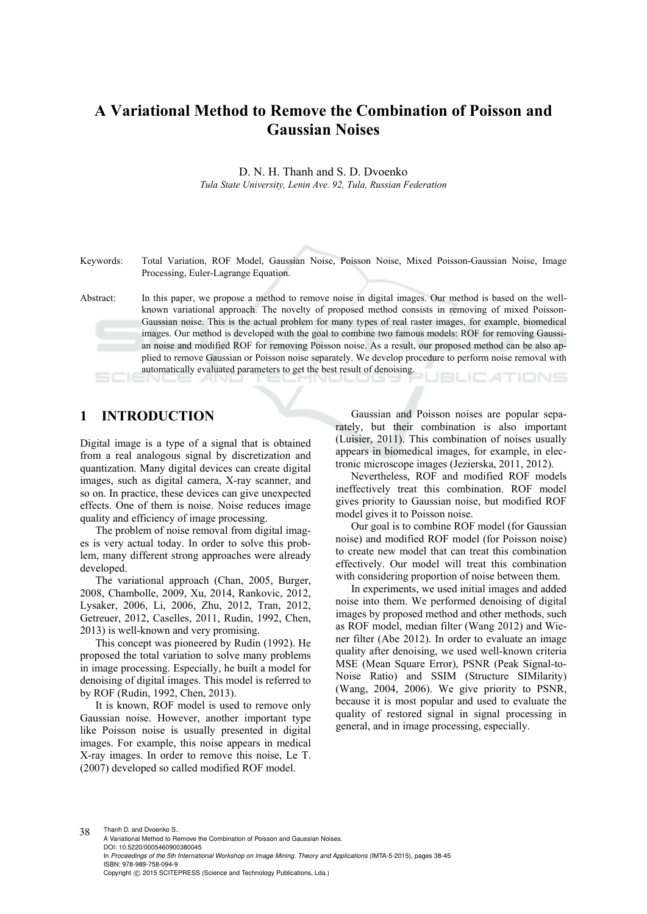## **A Variational Method to Remove the Combination of Poisson and Gaussian Noises**

D. N. H. Thanh and S. D. Dvoenko *Tula State University, Lenin Ave. 92, Tula, Russian Federation* 

Keywords: Total Variation, ROF Model, Gaussian Noise, Poisson Noise, Mixed Poisson-Gaussian Noise, Image Processing, Euler-Lagrange Equation.

Abstract: In this paper, we propose a method to remove noise in digital images. Our method is based on the wellknown variational approach. The novelty of proposed method consists in removing of mixed Poisson-Gaussian noise. This is the actual problem for many types of real raster images, for example, biomedical images. Our method is developed with the goal to combine two famous models: ROF for removing Gaussian noise and modified ROF for removing Poisson noise. As a result, our proposed method can be also applied to remove Gaussian or Poisson noise separately. We develop procedure to perform noise removal with automatically evaluated parameters to get the best result of denoising. **JBLIC ATIONS** 

## **1 INTRODUCTION**

Digital image is a type of a signal that is obtained from a real analogous signal by discretization and quantization. Many digital devices can create digital images, such as digital camera, X-ray scanner, and so on. In practice, these devices can give unexpected effects. One of them is noise. Noise reduces image quality and efficiency of image processing.

The problem of noise removal from digital images is very actual today. In order to solve this problem, many different strong approaches were already developed.

The variational approach (Chan, 2005, Burger, 2008, Chambolle, 2009, Xu, 2014, Rankovic, 2012, Lysaker, 2006, Li, 2006, Zhu, 2012, Tran, 2012, Getreuer, 2012, Caselles, 2011, Rudin, 1992, Chen, 2013) is well-known and very promising.

This concept was pioneered by Rudin (1992). He proposed the total variation to solve many problems in image processing. Especially, he built a model for denoising of digital images. This model is referred to by ROF (Rudin, 1992, Chen, 2013).

It is known, ROF model is used to remove only Gaussian noise. However, another important type like Poisson noise is usually presented in digital images. For example, this noise appears in medical X-ray images. In order to remove this noise, Le T. (2007) developed so called modified ROF model.

Gaussian and Poisson noises are popular separately, but their combination is also important (Luisier, 2011). This combination of noises usually appears in biomedical images, for example, in electronic microscope images (Jezierska, 2011, 2012).

Nevertheless, ROF and modified ROF models ineffectively treat this combination. ROF model gives priority to Gaussian noise, but modified ROF model gives it to Poisson noise.

Our goal is to combine ROF model (for Gaussian noise) and modified ROF model (for Poisson noise) to create new model that can treat this combination effectively. Our model will treat this combination with considering proportion of noise between them.

In experiments, we used initial images and added noise into them. We performed denoising of digital images by proposed method and other methods, such as ROF model, median filter (Wang 2012) and Wiener filter (Abe 2012). In order to evaluate an image quality after denoising, we used well-known criteria MSE (Mean Square Error), PSNR (Peak Signal-to-Noise Ratio) and SSIM (Structure SIMilarity) (Wang, 2004, 2006). We give priority to PSNR, because it is most popular and used to evaluate the quality of restored signal in signal processing in general, and in image processing, especially.

38 Thanh D. and Dvoenko S.. A Variational Method to Remove the Combination of Poisson and Gaussian Noises. DOI: 10.5220/0005460900380045 In *Proceedings of the 5th International Workshop on Image Mining. Theory and Applications* (IMTA-5-2015), pages 38-45 ISBN: 978-989-758-094-9 Copyright © 2015 SCITEPRESS (Science and Technology Publications, Lda.)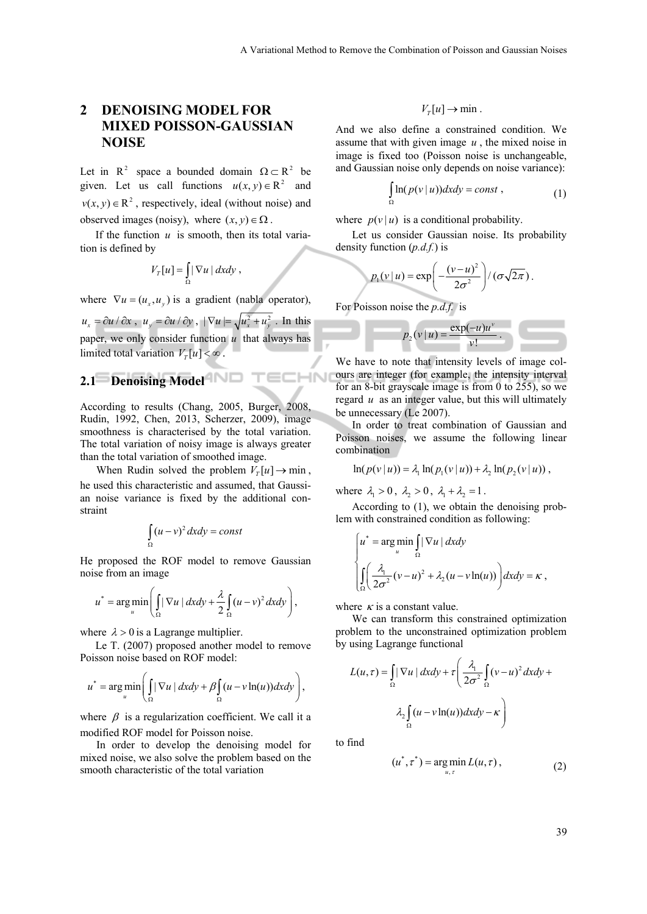### **2 DENOISING MODEL FOR MIXED POISSON-GAUSSIAN NOISE**

Let in  $R^2$  space a bounded domain  $\Omega \subset R^2$  be given. Let us call functions  $u(x, y) \in R^2$  and  $v(x, y) \in \mathbb{R}^2$ , respectively, ideal (without noise) and observed images (noisy), where  $(x, y) \in \Omega$ .

If the function  $u$  is smooth, then its total variation is defined by

$$
V_T[u] = \int_{\Omega} |\nabla u| \, dxdy ,
$$

where  $\nabla u = (u_{x}, u_{y})$  is a gradient (nabla operator),

 $u_x = \partial u / \partial x$ ,  $u_y = \partial u / \partial y$ ,  $|\nabla u| = \sqrt{u_x^2 + u_y^2}$ . In this paper, we only consider function *u* that always has limited total variation  $V_{\tau}[u] < \infty$ .

# **2.1 Denoising Model**

According to results (Chang, 2005, Burger, 2008, Rudin, 1992, Chen, 2013, Scherzer, 2009), image smoothness is characterised by the total variation. The total variation of noisy image is always greater than the total variation of smoothed image.

When Rudin solved the problem  $V_T[u] \to \min$ , he used this characteristic and assumed, that Gaussian noise variance is fixed by the additional constraint

$$
\int_{\Omega} (u - v)^2 dx dy = const
$$

He proposed the ROF model to remove Gaussian noise from an image

$$
u^* = \arg\min_u \left( \int_{\Omega} |\nabla u| \, dx dy + \frac{\lambda}{2} \int_{\Omega} (u - v)^2 \, dx dy \right),
$$

where  $\lambda > 0$  is a Lagrange multiplier.

Le T. (2007) proposed another model to remove Poisson noise based on ROF model:

$$
u^* = \arg\min_u \left( \int_{\Omega} |\nabla u| \, dx dy + \beta \int_{\Omega} (u - v \ln(u)) dx dy \right),
$$

where  $\beta$  is a regularization coefficient. We call it a modified ROF model for Poisson noise.

In order to develop the denoising model for mixed noise, we also solve the problem based on the smooth characteristic of the total variation

 $V_r[u] \to \min$ .

And we also define a constrained condition. We assume that with given image *u* , the mixed noise in image is fixed too (Poisson noise is unchangeable, and Gaussian noise only depends on noise variance):

$$
\int_{\Omega} \ln(p(v \mid u)) dx dy = const , \qquad (1)
$$

where  $p(v | u)$  is a conditional probability.

Let us consider Gaussian noise. Its probability density function (*p.d.f.*) is

$$
p_1(v \mid u) = \exp\left(-\frac{(v-u)^2}{2\sigma^2}\right) / (\sigma\sqrt{2\pi}).
$$

For Poisson noise the *p.d.f.* is

1N

$$
p_2(v \mid u) = \frac{\exp(-u)u^v}{v!}.
$$

We have to note that intensity levels of image colours are integer (for example, the intensity interval for an 8-bit grayscale image is from 0 to 255), so we regard *u* as an integer value, but this will ultimately be unnecessary (Le 2007).

In order to treat combination of Gaussian and Poisson noises, we assume the following linear combination

$$
\ln(p(v | u)) = \lambda_1 \ln(p_1(v | u)) + \lambda_2 \ln(p_2(v | u)),
$$

where  $\lambda_1 > 0$ ,  $\lambda_2 > 0$ ,  $\lambda_1 + \lambda_2 = 1$ .

According to (1), we obtain the denoising problem with constrained condition as following:

$$
\begin{cases}\n u^* = \arg\min_{u} \int_{\Omega} |\nabla u| \, dxdy \\
\iint_{\Omega} \left( \frac{\lambda_1}{2\sigma^2} (v - u)^2 + \lambda_2 (u - v \ln(u)) \right) dxdy = \kappa,\n\end{cases}
$$

where  $\kappa$  is a constant value.

We can transform this constrained optimization problem to the unconstrained optimization problem by using Lagrange functional

$$
L(u,\tau) = \int_{\Omega} |\nabla u| \, dx \, dy + \tau \left( \frac{\lambda_1}{2\sigma^2} \int_{\Omega} (v - u)^2 \, dx \, dy + \lambda_2 \int_{\Omega} (u - v \ln(u)) \, dx \, dy - \kappa \right)
$$

to find

$$
(u^*, \tau^*) = \arg\min_{u, \tau} L(u, \tau), \tag{2}
$$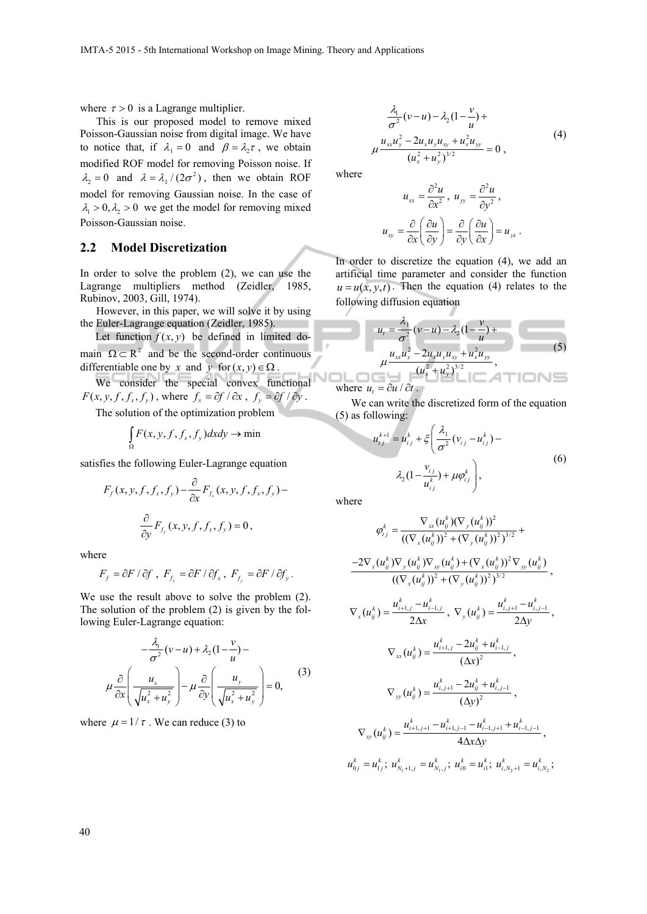where  $\tau > 0$  is a Lagrange multiplier.

This is our proposed model to remove mixed Poisson-Gaussian noise from digital image. We have to notice that, if  $\lambda_1 = 0$  and  $\beta = \lambda_2 \tau$ , we obtain modified ROF model for removing Poisson noise. If  $\lambda_2 = 0$  and  $\lambda = \lambda_1 / (2\sigma^2)$ , then we obtain ROF model for removing Gaussian noise. In the case of  $\lambda_1 > 0$ ,  $\lambda_2 > 0$  we get the model for removing mixed Poisson-Gaussian noise.

### **2.2 Model Discretization**

In order to solve the problem (2), we can use the Lagrange multipliers method (Zeidler, 1985, Rubinov, 2003, Gill, 1974).

However, in this paper, we will solve it by using the Euler-Lagrange equation (Zeidler, 1985).

Let function  $f(x, y)$  be defined in limited domain  $\Omega \subset \mathbb{R}^2$  and be the second-order continuous differentiable one by *x* and *y* for  $(x, y) \in \Omega$ .

We consider the special convex functional  $F(x, y, f, f_x, f_y)$ , where  $f_x = \partial f / \partial x$ ,  $f_y = \partial f / \partial y$ .

The solution of the optimization problem

$$
\int_{\Omega} F(x, y, f, f_x, f_y) dx dy \rightarrow \min
$$

satisfies the following Euler-Lagrange equation

$$
F_f(x, y, f, f_x, f_y) - \frac{\partial}{\partial x} F_{f_x}(x, y, f, f_x, f_y) -
$$

$$
\frac{\partial}{\partial y} F_{f_y}(x, y, f, f_x, f_y) = 0,
$$

where

$$
F_f=\partial F\,/\,\partial f\ ,\ F_{f_x}=\partial F\,/\,\partial f_x\ ,\ F_{f_y}=\partial F\,/\,\partial f_y\,.
$$

We use the result above to solve the problem (2). The solution of the problem (2) is given by the following Euler-Lagrange equation:

$$
-\frac{\lambda_1}{\sigma^2}(v-u) + \lambda_2(1-\frac{v}{u}) -
$$

$$
\mu \frac{\partial}{\partial x} \left( \frac{u_x}{\sqrt{u_x^2 + u_y^2}} \right) - \mu \frac{\partial}{\partial y} \left( \frac{u_y}{\sqrt{u_x^2 + u_y^2}} \right) = 0,
$$
(3)

where  $\mu = 1/\tau$ . We can reduce (3) to

$$
\frac{\lambda_1}{\sigma^2}(\nu - u) - \lambda_2 (1 - \frac{\nu}{u}) +
$$
  

$$
\mu \frac{u_{xx} u_y^2 - 2u_x u_y u_{xy} + u_x^2 u_{yy}}{(u_x^2 + u_y^2)^{3/2}} = 0,
$$
 (4)

where

$$
u_{xx} = \frac{\partial^2 u}{\partial x^2}, \ u_{yy} = \frac{\partial^2 u}{\partial y^2},
$$

$$
u_{xy} = \frac{\partial}{\partial x} \left( \frac{\partial u}{\partial y} \right) = \frac{\partial}{\partial y} \left( \frac{\partial u}{\partial x} \right) = u_{yx}.
$$

In order to discretize the equation (4), we add an artificial time parameter and consider the function  $u = u(x, y, t)$ . Then the equation (4) relates to the following diffusion equation

$$
u_{t} = \frac{\lambda_{1}}{\sigma^{2}}(v-u) - \lambda_{2}(1-\frac{v}{u}) + \frac{1}{\mu} \frac{u_{xx}u_{y}^{2} - 2u_{x}u_{y}u_{xy} + u_{x}^{2}u_{yy}}{\mu^{2} \frac{(u_{x}^{2} + u_{y}^{2})^{3/2}}{2}},
$$
\nwhere  $u_{t} = \partial u / \partial t$ . (5)

We can write the discretized form of the equation (5) as following:

$$
u_{ij}^{k+1} = u_{ij}^k + \xi \left( \frac{\lambda_1}{\sigma^2} (v_{ij} - u_{ij}^k) - \lambda_2 (1 - \frac{v_{ij}}{u_{ij}^k}) + \mu \varphi_{ij}^k \right),
$$
\n(6)

where

$$
\varphi_{ij}^{k} = \frac{\nabla_{xx}(u_{ij}^{k})(\nabla_{y}(u_{ij}^{k}))^{2}}{((\nabla_{x}(u_{ij}^{k}))^{2} + (\nabla_{y}(u_{ij}^{k}))^{2})^{3/2}} +
$$
  
\n
$$
\frac{-2\nabla_{x}(u_{ij}^{k})\nabla_{y}(u_{ij}^{k})\nabla_{xy}(u_{ij}^{k}) + (\nabla_{x}(u_{ij}^{k}))^{2}\nabla_{yy}(u_{ij}^{k})}{((\nabla_{x}(u_{ij}^{k}))^{2} + (\nabla_{y}(u_{ij}^{k}))^{2})^{3/2}},
$$
  
\n
$$
\nabla_{x}(u_{ij}^{k}) = \frac{u_{i+1,j}^{k} - u_{i-1,j}^{k}}{2\Delta x}, \nabla_{y}(u_{ij}^{k}) = \frac{u_{i,j+1}^{k} - u_{i,j-1}^{k}}{2\Delta y},
$$
  
\n
$$
\nabla_{xx}(u_{ij}^{k}) = \frac{u_{i+1,j}^{k} - 2u_{ij}^{k} + u_{i-1,j}^{k}}{(\Delta x)^{2}},
$$
  
\n
$$
\nabla_{yy}(u_{ij}^{k}) = \frac{u_{i,j+1}^{k} - 2u_{ij}^{k} + u_{i,j-1}^{k}}{(\Delta y)^{2}},
$$
  
\n
$$
\nabla_{xy}(u_{ij}^{k}) = \frac{u_{i+1,j+1}^{k} - u_{i+1,j-1}^{k} - u_{i-1,j+1}^{k} + u_{i-1,j-1}^{k}}{4\Delta x\Delta y},
$$
  
\n
$$
u_{0j}^{k} = u_{1j}^{k}, u_{N_{1}+1,j}^{k} = u_{N_{1},j}^{k}, u_{i0}^{k} = u_{i1}^{k}, u_{i,N_{2}+1}^{k} = u_{i,N_{2}}^{k};
$$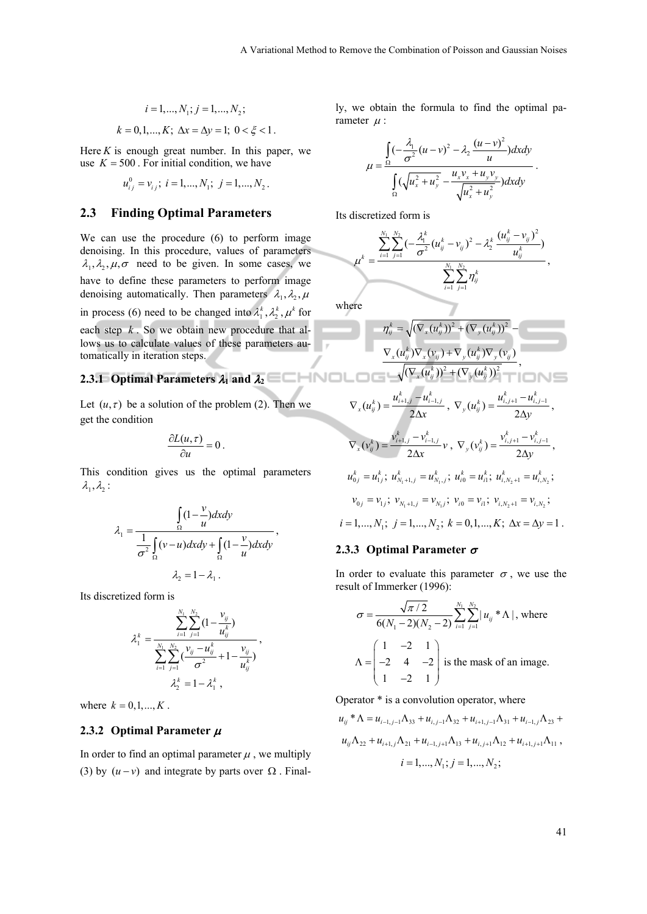$$
i = 1, ..., N_1; j = 1, ..., N_2;
$$
  

$$
k = 0, 1, ..., K; \Delta x = \Delta y = 1; 0 < \xi < 1.
$$

Here  $K$  is enough great number. In this paper, we use  $K = 500$ . For initial condition, we have

$$
u_{ij}^0 = v_{ij}
$$
;  $i = 1,..., N_1$ ;  $j = 1,..., N_2$ .

### **2.3 Finding Optimal Parameters**

We can use the procedure (6) to perform image denoising. In this procedure, values of parameters  $\lambda_1, \lambda_2, \mu, \sigma$  need to be given. In some cases, we have to define these parameters to perform image denoising automatically. Then parameters  $\lambda_1, \lambda_2, \mu$ in process (6) need to be changed into  $\lambda_1^k$ ,  $\lambda_2^k$ ,  $\mu^k$  for each step  $k$ . So we obtain new procedure that allows us to calculate values of these parameters automatically in iteration steps.

# **2.3.1 Optimal Parameters**  $\lambda_1$  **and**  $\lambda_2$  **=**  $\blacksquare$

Let  $(u, \tau)$  be a solution of the problem (2). Then we get the condition

$$
\frac{\partial L(u,\tau)}{\partial u}=0.
$$

This condition gives us the optimal parameters  $\lambda_1, \lambda_2$ :

$$
\lambda_1 = \frac{\int_{\Omega} (1 - \frac{v}{u}) dx dy}{\frac{1}{\sigma^2} \int_{\Omega} (v - u) dx dy + \int_{\Omega} (1 - \frac{v}{u}) dx dy},
$$

$$
\lambda_2 = 1 - \lambda_1.
$$

Its discretized form is

$$
\lambda_1^k = \frac{\sum_{i=1}^{N_1} \sum_{j=1}^{N_2} (1 - \frac{v_{ij}}{u_{ij}^k})}{\sum_{i=1}^{N_1} \sum_{j=1}^{N_2} (\frac{v_{ij} - u_{ij}^k}{\sigma^2} + 1 - \frac{v_{ij}}{u_{ij}^k})},
$$
  

$$
\lambda_2^k = 1 - \lambda_1^k,
$$

where  $k = 0, 1, ..., K$ .

#### **2.3.2 Optimal Parameter**

In order to find an optimal parameter  $\mu$ , we multiply (3) by  $(u - v)$  and integrate by parts over  $\Omega$ . Finally, we obtain the formula to find the optimal parameter  $\mu$  :

$$
\mu = \frac{\int_{\Omega} \left(-\frac{\lambda_1}{\sigma^2} (u - v)^2 - \lambda_2 \frac{(u - v)^2}{u}\right) dxdy}{\int_{\Omega} \left(\sqrt{u_x^2 + u_y^2} - \frac{u_x v_x + u_y v_y}{\sqrt{u_x^2 + u_y^2}}\right) dxdy}
$$

.

Its discretized form is

$$
\mu^{k} = \frac{\sum_{i=1}^{N_1} \sum_{j=1}^{N_2} \left(-\frac{\lambda_1^{k}}{\sigma^2} (u_{ij}^{k} - v_{ij})^2 - \lambda_2^{k} \frac{(u_{ij}^{k} - v_{ij})^2}{u_{ij}^{k}}\right)}{\sum_{i=1}^{N_1} \sum_{j=1}^{N_2} \eta_{ij}^{k}},
$$

where

$$
\frac{\eta_{ij}^k = \sqrt{(\nabla_x (u_{ij}^k))^2 + (\nabla_y (u_{ij}^k))^2} - \nabla_x (u_{ij}^k) \nabla_x (v_{ij}) + \nabla_y (u_{ij}^k) \nabla_y (v_{ij})}{\sqrt{(\nabla_x (u_{ij}^k))^2 + (\nabla_y (u_{ij}^k))^2}},\n\frac{\sqrt{(\nabla_x (u_{ij}^k))^2 + (\nabla_y (u_{ij}^k))^2}}{2\Delta x}, \nabla_y (u_{ij}^k) = \frac{u_{i,j+1}^k - u_{i,j-1}^k}{2\Delta y},\n\frac{\nabla_x (v_{ij}^k) = \frac{v_{i+1,j}^k - v_{i-1,j}^k}{2\Delta x} v, \nabla_y (v_{ij}^k) = \frac{v_{i,j+1}^k - v_{i,j-1}^k}{2\Delta y},\n\frac{u_{0j}^k = u_{1j}^k; u_{N_1+1,j}^k = u_{N_1,j}^k; u_{i,0}^k = u_{i1}^k; u_{i,N_2+1}^k = u_{i,N_2}^k; \n\frac{v_{0j} = v_{1j}; v_{N_1+1,j} = v_{N_1j}; v_{i0} = v_{i1}; v_{i,N_2+1} = v_{i,N_2};\n\frac{v_{0j} = v_{1j}; v_{N_1+1,j} = v_{N_1j}; v_{i0} = v_{i1}; v_{i,N_2+1} = v_{i,N_2};\n\frac{v_{0j} = 1, ..., N_1; j = 1, ..., N_2; k = 0, 1, ..., K; \Delta x = \Delta y = 1.
$$

#### **2.3.3 Optimal Parameter**

In order to evaluate this parameter  $\sigma$ , we use the result of Immerker (1996):

$$
\sigma = \frac{\sqrt{\pi/2}}{6(N_1 - 2)(N_2 - 2)} \sum_{i=1}^{N_1} \sum_{j=1}^{N_2} |u_{ij} * \Lambda|
$$
, where  

$$
\Lambda = \begin{pmatrix} 1 & -2 & 1 \\ -2 & 4 & -2 \\ 1 & -2 & 1 \end{pmatrix}
$$
 is the mask of an image.

Operator \* is a convolution operator, where

$$
u_{ij} * \Lambda = u_{i-1,j-1} \Lambda_{33} + u_{i,j-1} \Lambda_{32} + u_{i+1,j-1} \Lambda_{31} + u_{i-1,j} \Lambda_{23} +
$$
  

$$
u_{ij} \Lambda_{22} + u_{i+1,j} \Lambda_{21} + u_{i-1,j+1} \Lambda_{13} + u_{i,j+1} \Lambda_{12} + u_{i+1,j+1} \Lambda_{11},
$$
  

$$
i = 1,..., N_1; j = 1,..., N_2;
$$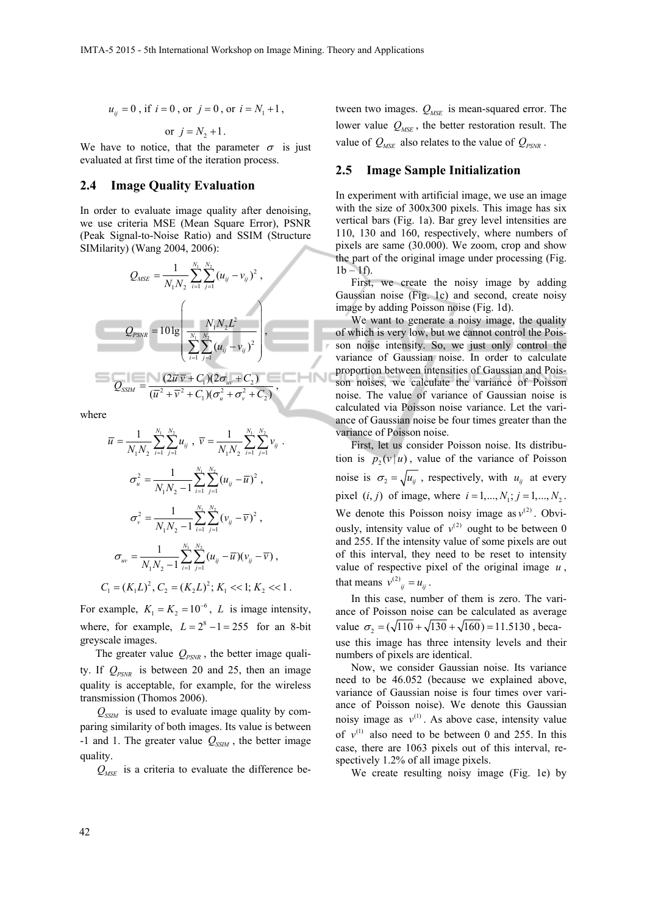$$
u_{ij} = 0
$$
, if  $i = 0$ , or  $j = 0$ , or  $i = N_1 + 1$ ,

or 
$$
j = N_2 + 1
$$
.

We have to notice, that the parameter  $\sigma$  is just evaluated at first time of the iteration process.

#### **2.4 Image Quality Evaluation**

In order to evaluate image quality after denoising, we use criteria MSE (Mean Square Error), PSNR (Peak Signal-to-Noise Ratio) and SSIM (Structure SIMilarity) (Wang 2004, 2006):

$$
Q_{MSE} = \frac{1}{N_1 N_2} \sum_{i=1}^{N_1} \sum_{j=1}^{N_2} (u_{ij} - v_{ij})^2,
$$
  

$$
Q_{PSNR} = 10 \lg \left( \frac{N_1 N_2 L^2}{\sum_{i=1}^{N_1} \sum_{j=1}^{N_2} (u_{ij} - v_{ij})^2} \right),
$$
  

$$
Q_{SSIM} = \frac{(2\overline{u} \ \overline{v} + C_1)(2\sigma_{uv} + C_2)}{(\overline{u}^2 + \overline{v}^2 + C_1)(\sigma_u^2 + \sigma_v^2 + C_2)},
$$

where

$$
\overline{u} = \frac{1}{N_1 N_2} \sum_{i=1}^{N_1} \sum_{j=1}^{N_2} u_{ij} , \overline{v} = \frac{1}{N_1 N_2} \sum_{i=1}^{N_1} \sum_{j=1}^{N_2} v_{ij} .
$$

$$
\sigma_u^2 = \frac{1}{N_1 N_2 - 1} \sum_{i=1}^{N_1} \sum_{j=1}^{N_2} (u_{ij} - \overline{u})^2 ,
$$

$$
\sigma_v^2 = \frac{1}{N_1 N_2 - 1} \sum_{i=1}^{N_1} \sum_{j=1}^{N_2} (v_{ij} - \overline{v})^2 ,
$$

$$
\sigma_{uv} = \frac{1}{N_1 N_2 - 1} \sum_{i=1}^{N_1} \sum_{j=1}^{N_2} (u_{ij} - \overline{u}) (v_{ij} - \overline{v}) ,
$$

$$
C_1 = (K_1 L)^2, C_2 = (K_2 L)^2; K_1 \ll 1; K_2 \ll 1 .
$$

For example,  $K_1 = K_2 = 10^{-6}$ , *L* is image intensity, where, for example,  $L = 2^8 - 1 = 255$  for an 8-bit greyscale images.

The greater value  $Q_{PSNR}$ , the better image quality. If  $Q_{PSNR}$  is between 20 and 25, then an image quality is acceptable, for example, for the wireless transmission (Thomos 2006).

 $Q_{\text{SSIM}}$  is used to evaluate image quality by comparing similarity of both images. Its value is between -1 and 1. The greater value  $Q_{SSIM}$ , the better image quality.

 $Q_{MSE}$  is a criteria to evaluate the difference be-

tween two images.  $Q_{MSE}$  is mean-squared error. The lower value  $Q_{MSE}$ , the better restoration result. The value of  $Q_{MSE}$  also relates to the value of  $Q_{PSNR}$ .

#### **2.5 Image Sample Initialization**

In experiment with artificial image, we use an image with the size of 300x300 pixels. This image has six vertical bars (Fig. 1a). Bar grey level intensities are 110, 130 and 160, respectively, where numbers of pixels are same (30.000). We zoom, crop and show the part of the original image under processing (Fig.  $1b - 1f$ ).

First, we create the noisy image by adding Gaussian noise (Fig. 1c) and second, create noisy image by adding Poisson noise (Fig. 1d).

We want to generate a noisy image, the quality of which is very low, but we cannot control the Poisson noise intensity. So, we just only control the variance of Gaussian noise. In order to calculate proportion between intensities of Gaussian and Poisson noises, we calculate the variance of Poisson noise. The value of variance of Gaussian noise is calculated via Poisson noise variance. Let the variance of Gaussian noise be four times greater than the variance of Poisson noise.

First, let us consider Poisson noise. Its distribution is  $p_2(v|u)$ , value of the variance of Poisson noise is  $\sigma_2 = \sqrt{u_{ij}}$ , respectively, with  $u_{ij}$  at every pixel  $(i, j)$  of image, where  $i = 1, ..., N_1; j = 1, ..., N_2$ . We denote this Poisson noisy image as  $v^{(2)}$ . Obviously, intensity value of  $v^{(2)}$  ought to be between 0 and 255. If the intensity value of some pixels are out of this interval, they need to be reset to intensity value of respective pixel of the original image *u* , that means  $v^{(2)}_{ij} = u_{ij}$ .

In this case, number of them is zero. The variance of Poisson noise can be calculated as average value  $\sigma_2 = (\sqrt{110} + \sqrt{130} + \sqrt{160}) = 11.5130$ , because this image has three intensity levels and their numbers of pixels are identical.

Now, we consider Gaussian noise. Its variance need to be 46.052 (because we explained above, variance of Gaussian noise is four times over variance of Poisson noise). We denote this Gaussian noisy image as  $v^{(1)}$ . As above case, intensity value of  $v^{(1)}$  also need to be between 0 and 255. In this case, there are 1063 pixels out of this interval, respectively 1.2% of all image pixels.

We create resulting noisy image (Fig. 1e) by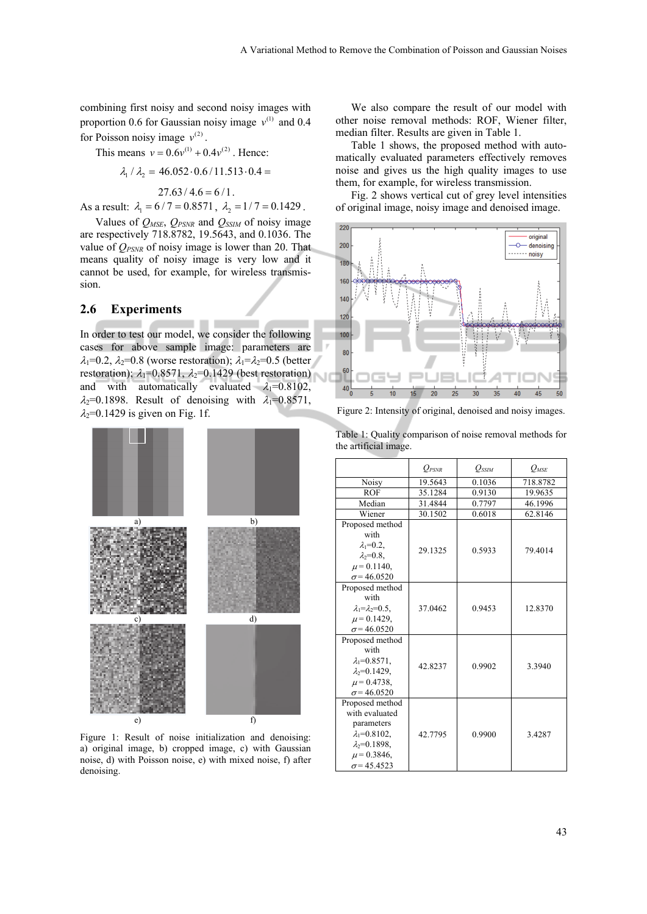combining first noisy and second noisy images with proportion 0.6 for Gaussian noisy image  $v^{(1)}$  and 0.4 for Poisson noisy image  $v^{(2)}$ .

This means  $v = 0.6 v^{(1)} + 0.4 v^{(2)}$ . Hence:

$$
\lambda_1 / \lambda_2 = 46.052 \cdot 0.6 / 11.513 \cdot 0.4 =
$$

 $27.63 / 4.6 = 6 / 1$ . As a result:  $\lambda_1 = 6/7 = 0.8571$ ,  $\lambda_2 = 1/7 = 0.1429$ .

Values of  $Q_{MSE}$ ,  $Q_{PSNR}$  and  $Q_{SSIM}$  of noisy image are respectively 718.8782, 19.5643, and 0.1036. The value of *QPSNR* of noisy image is lower than 20. That means quality of noisy image is very low and it cannot be used, for example, for wireless transmission.

#### **2.6 Experiments**

In order to test our model, we consider the following cases for above sample image: parameters are  $\lambda_1=0.2$ ,  $\lambda_2=0.8$  (worse restoration);  $\lambda_1=\lambda_2=0.5$  (better restoration);  $\lambda_1=0.8571$ ,  $\lambda_2=0.1429$  (best restoration) and with automatically evaluated  $\lambda_1=0.8102$ ,  $\lambda_2$ =0.1898. Result of denoising with  $\lambda_1$ =0.8571,  $\lambda_2$ =0.1429 is given on Fig. 1f.



Figure 1: Result of noise initialization and denoising: a) original image, b) cropped image, c) with Gaussian noise, d) with Poisson noise, e) with mixed noise, f) after denoising.

We also compare the result of our model with other noise removal methods: ROF, Wiener filter, median filter. Results are given in Table 1.

Table 1 shows, the proposed method with automatically evaluated parameters effectively removes noise and gives us the high quality images to use them, for example, for wireless transmission.

Fig. 2 shows vertical cut of grey level intensities of original image, noisy image and denoised image.



Figure 2: Intensity of original, denoised and noisy images.

|                                                                                                                                              | $O_{PSNR}$ | $O_{\rm \scriptscriptstyle SSM}$ | $O_{MSE}$ |  |
|----------------------------------------------------------------------------------------------------------------------------------------------|------------|----------------------------------|-----------|--|
| Noisy                                                                                                                                        | 19.5643    | 0.1036                           | 718.8782  |  |
| <b>ROF</b>                                                                                                                                   | 35.1284    | 0.9130                           | 19.9635   |  |
| Median                                                                                                                                       | 31.4844    | 0.7797                           | 46.1996   |  |
| Wiener                                                                                                                                       | 30.1502    | 0.6018                           | 62.8146   |  |
| Proposed method<br>with                                                                                                                      |            |                                  |           |  |
| $\lambda_1=0.2$ ,<br>$\lambda$ <sub>2</sub> =0.8.<br>$\mu$ = 0.1140,                                                                         | 29.1325    | 79.4014                          |           |  |
| $\sigma$ = 46.0520                                                                                                                           |            |                                  |           |  |
| Proposed method<br>with<br>$\lambda_1 = \lambda_2 = 0.5$ .<br>$\mu$ = 0.1429.<br>$\sigma$ = 46.0520                                          | 37.0462    | 0.9453                           | 12.8370   |  |
| Proposed method<br>with<br>$\lambda_1 = 0.8571$ ,<br>$\lambda$ <sub>2</sub> =0.1429.<br>$\mu$ = 0.4738,<br>$\sigma$ = 46.0520                | 42.8237    | 0.9902                           | 3.3940    |  |
| Proposed method<br>with evaluated<br>parameters<br>$\lambda_1 = 0.8102$ ,<br>$\lambda_2 = 0.1898$ ,<br>$\mu$ = 0.3846,<br>$\sigma$ = 45.4523 | 42.7795    | 0.9900                           | 3.4287    |  |

Table 1: Quality comparison of noise removal methods for the artificial image.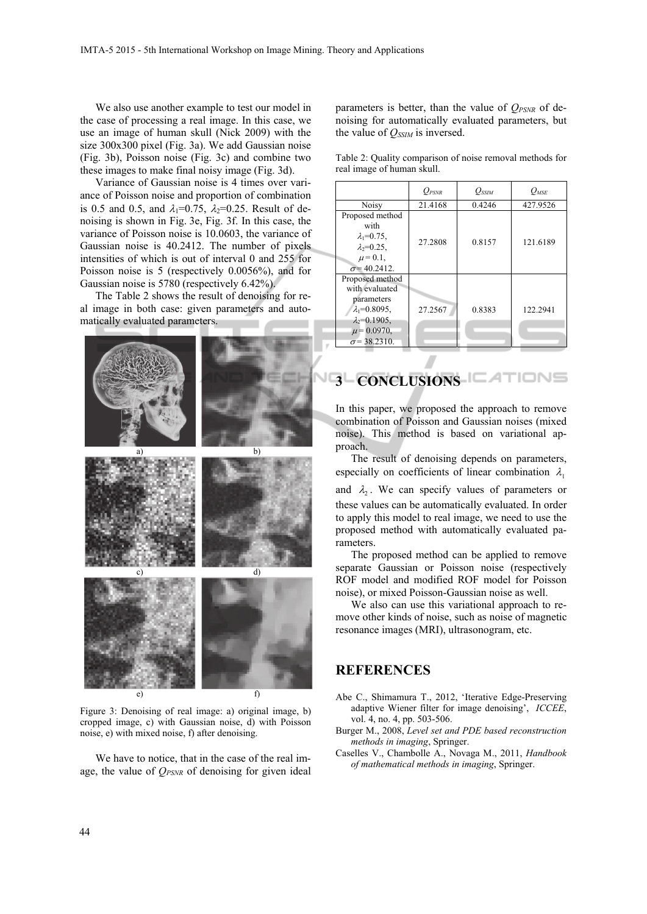We also use another example to test our model in the case of processing a real image. In this case, we use an image of human skull (Nick 2009) with the size 300x300 pixel (Fig. 3a). We add Gaussian noise (Fig. 3b), Poisson noise (Fig. 3c) and combine two these images to make final noisy image (Fig. 3d).

Variance of Gaussian noise is 4 times over variance of Poisson noise and proportion of combination is 0.5 and 0.5, and  $\lambda_1 = 0.75$ ,  $\lambda_2 = 0.25$ . Result of denoising is shown in Fig. 3e, Fig. 3f. In this case, the variance of Poisson noise is 10.0603, the variance of Gaussian noise is 40.2412. The number of pixels intensities of which is out of interval 0 and 255 for Poisson noise is 5 (respectively 0.0056%), and for Gaussian noise is 5780 (respectively 6.42%).

The Table 2 shows the result of denoising for real image in both case: given parameters and automatically evaluated parameters.



Figure 3: Denoising of real image: a) original image, b) cropped image, c) with Gaussian noise, d) with Poisson noise, e) with mixed noise, f) after denoising.

We have to notice, that in the case of the real image, the value of  $Q_{PSNR}$  of denoising for given ideal

parameters is better, than the value of *Q<sub>PSNR</sub>* of denoising for automatically evaluated parameters, but the value of  $Q_{SSIM}$  is inversed.

| Table 2: Quality comparison of noise removal methods for |  |  |  |
|----------------------------------------------------------|--|--|--|
| real image of human skull.                               |  |  |  |

|                                                                                                                                           | $O_{PSNR}$ | $O_{SSIM}$ | $O_{MSE}$ |
|-------------------------------------------------------------------------------------------------------------------------------------------|------------|------------|-----------|
| Noisy                                                                                                                                     | 21.4168    | 0.4246     | 427.9526  |
| Proposed method<br>with<br>$\lambda_1 = 0.75$ ,<br>$\lambda$ <sub>2</sub> =0.25.<br>$\mu = 0.1$ ,<br>$\sigma$ = 40.2412.                  | 27.2808    | 0.8157     | 121.6189  |
| Proposed method<br>with evaluated<br>parameters<br>$\lambda_1 = 0.8095$ ,<br>$\lambda$ =0.1905,<br>$\mu$ = 0.0970,<br>$\sigma$ = 38.2310. | 27.2567    | 0.8383     | 122.2941  |

# **3** CONCLUSIONS **EXTIGNS**

In this paper, we proposed the approach to remove combination of Poisson and Gaussian noises (mixed noise). This method is based on variational approach.

The result of denoising depends on parameters, especially on coefficients of linear combination  $\lambda_1$ 

and  $\lambda$ . We can specify values of parameters or these values can be automatically evaluated. In order to apply this model to real image, we need to use the proposed method with automatically evaluated parameters.

The proposed method can be applied to remove separate Gaussian or Poisson noise (respectively ROF model and modified ROF model for Poisson noise), or mixed Poisson-Gaussian noise as well.

We also can use this variational approach to remove other kinds of noise, such as noise of magnetic resonance images (MRI), ultrasonogram, etc.

### **REFERENCES**

- Abe C., Shimamura T., 2012, 'Iterative Edge-Preserving adaptive Wiener filter for image denoising', *ICCEE*, vol. 4, no. 4, pp. 503-506.
- Burger M., 2008, *Level set and PDE based reconstruction methods in imaging*, Springer.
- Caselles V., Chambolle A., Novaga M., 2011, *Handbook of mathematical methods in imaging*, Springer.